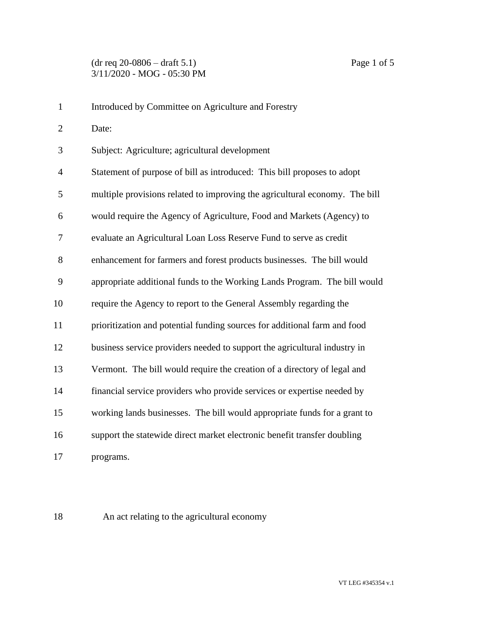| $\mathbf{1}$   | Introduced by Committee on Agriculture and Forestry                         |
|----------------|-----------------------------------------------------------------------------|
| $\overline{2}$ | Date:                                                                       |
| 3              | Subject: Agriculture; agricultural development                              |
| $\overline{4}$ | Statement of purpose of bill as introduced: This bill proposes to adopt     |
| 5              | multiple provisions related to improving the agricultural economy. The bill |
| 6              | would require the Agency of Agriculture, Food and Markets (Agency) to       |
| 7              | evaluate an Agricultural Loan Loss Reserve Fund to serve as credit          |
| 8              | enhancement for farmers and forest products businesses. The bill would      |
| 9              | appropriate additional funds to the Working Lands Program. The bill would   |
| 10             | require the Agency to report to the General Assembly regarding the          |
| 11             | prioritization and potential funding sources for additional farm and food   |
| 12             | business service providers needed to support the agricultural industry in   |
| 13             | Vermont. The bill would require the creation of a directory of legal and    |
| 14             | financial service providers who provide services or expertise needed by     |
| 15             | working lands businesses. The bill would appropriate funds for a grant to   |
| 16             | support the statewide direct market electronic benefit transfer doubling    |
| 17             | programs.                                                                   |

An act relating to the agricultural economy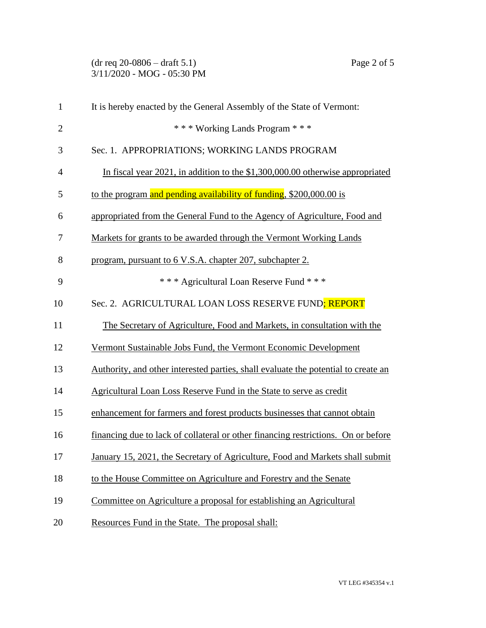(dr req 20-0806 – draft 5.1) Page 2 of 5 3/11/2020 - MOG - 05:30 PM

| $\mathbf{1}$   | It is hereby enacted by the General Assembly of the State of Vermont:              |
|----------------|------------------------------------------------------------------------------------|
| $\overline{2}$ | *** Working Lands Program ***                                                      |
| 3              | Sec. 1. APPROPRIATIONS; WORKING LANDS PROGRAM                                      |
| $\overline{4}$ | In fiscal year 2021, in addition to the \$1,300,000.00 otherwise appropriated      |
| 5              | to the program and pending availability of funding, \$200,000.00 is                |
| 6              | appropriated from the General Fund to the Agency of Agriculture, Food and          |
| 7              | Markets for grants to be awarded through the Vermont Working Lands                 |
| 8              | program, pursuant to 6 V.S.A. chapter 207, subchapter 2.                           |
| 9              | *** Agricultural Loan Reserve Fund ***                                             |
| 10             | Sec. 2. AGRICULTURAL LOAN LOSS RESERVE FUND; REPORT                                |
| 11             | The Secretary of Agriculture, Food and Markets, in consultation with the           |
| 12             | Vermont Sustainable Jobs Fund, the Vermont Economic Development                    |
| 13             | Authority, and other interested parties, shall evaluate the potential to create an |
| 14             | Agricultural Loan Loss Reserve Fund in the State to serve as credit                |
| 15             | enhancement for farmers and forest products businesses that cannot obtain          |
| 16             | financing due to lack of collateral or other financing restrictions. On or before  |
| 17             | January 15, 2021, the Secretary of Agriculture, Food and Markets shall submit      |
| 18             | to the House Committee on Agriculture and Forestry and the Senate                  |
| 19             | Committee on Agriculture a proposal for establishing an Agricultural               |
| 20             | Resources Fund in the State. The proposal shall:                                   |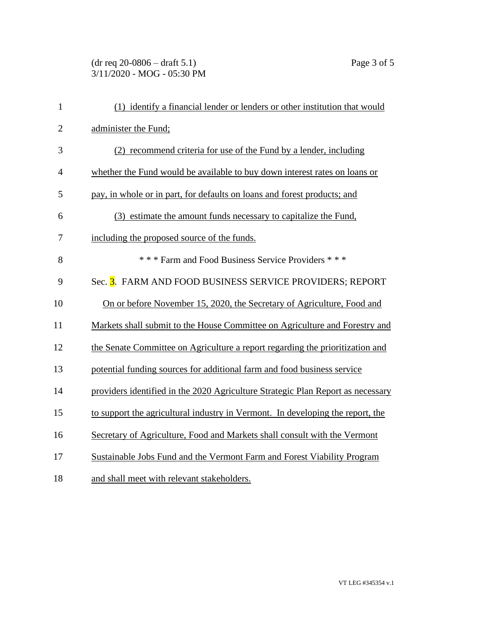## (dr req 20-0806 – draft 5.1) Page 3 of 5 3/11/2020 - MOG - 05:30 PM

| $\mathbf{1}$   | (1) identify a financial lender or lenders or other institution that would      |
|----------------|---------------------------------------------------------------------------------|
| $\overline{2}$ | administer the Fund;                                                            |
| 3              | (2) recommend criteria for use of the Fund by a lender, including               |
| $\overline{4}$ | whether the Fund would be available to buy down interest rates on loans or      |
| 5              | pay, in whole or in part, for defaults on loans and forest products; and        |
| 6              | (3) estimate the amount funds necessary to capitalize the Fund,                 |
| 7              | including the proposed source of the funds.                                     |
| 8              | *** Farm and Food Business Service Providers ***                                |
| 9              | Sec. 3. FARM AND FOOD BUSINESS SERVICE PROVIDERS; REPORT                        |
| 10             | On or before November 15, 2020, the Secretary of Agriculture, Food and          |
| 11             | Markets shall submit to the House Committee on Agriculture and Forestry and     |
| 12             | the Senate Committee on Agriculture a report regarding the prioritization and   |
| 13             | potential funding sources for additional farm and food business service         |
| 14             | providers identified in the 2020 Agriculture Strategic Plan Report as necessary |
| 15             | to support the agricultural industry in Vermont. In developing the report, the  |
| 16             | Secretary of Agriculture, Food and Markets shall consult with the Vermont       |
| 17             | Sustainable Jobs Fund and the Vermont Farm and Forest Viability Program         |
| 18             | and shall meet with relevant stakeholders.                                      |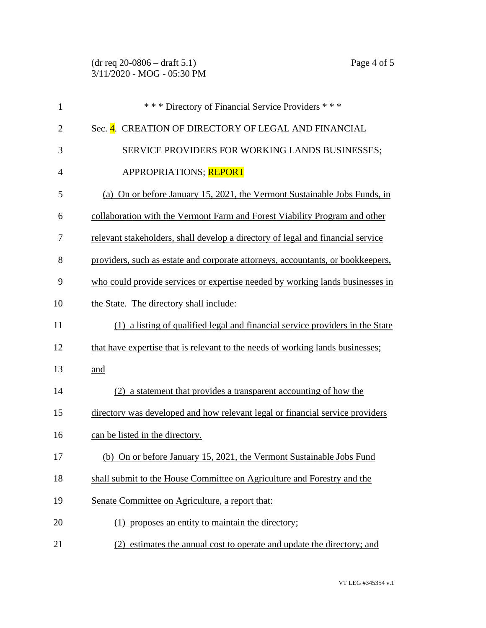| $\mathbf{1}$   | *** Directory of Financial Service Providers ***                                |
|----------------|---------------------------------------------------------------------------------|
| $\overline{2}$ | Sec. 4. CREATION OF DIRECTORY OF LEGAL AND FINANCIAL                            |
| 3              | SERVICE PROVIDERS FOR WORKING LANDS BUSINESSES;                                 |
| $\overline{4}$ | APPROPRIATIONS; REPORT                                                          |
| 5              | (a) On or before January 15, 2021, the Vermont Sustainable Jobs Funds, in       |
| 6              | collaboration with the Vermont Farm and Forest Viability Program and other      |
| 7              | relevant stakeholders, shall develop a directory of legal and financial service |
| 8              | providers, such as estate and corporate attorneys, accountants, or bookkeepers, |
| 9              | who could provide services or expertise needed by working lands businesses in   |
| 10             | the State. The directory shall include:                                         |
| 11             | (1) a listing of qualified legal and financial service providers in the State   |
| 12             | that have expertise that is relevant to the needs of working lands businesses;  |
| 13             | and                                                                             |
| 14             | (2) a statement that provides a transparent accounting of how the               |
| 15             | directory was developed and how relevant legal or financial service providers   |
| 16             | can be listed in the directory.                                                 |
| 17             | (b) On or before January 15, 2021, the Vermont Sustainable Jobs Fund            |
| 18             | shall submit to the House Committee on Agriculture and Forestry and the         |
| 19             | Senate Committee on Agriculture, a report that:                                 |
| 20             | (1) proposes an entity to maintain the directory;                               |
| 21             | estimates the annual cost to operate and update the directory; and<br>(2)       |